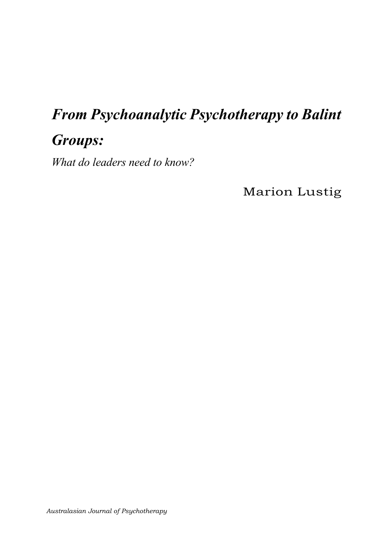# From Psychoanalytic Psychotherapy to Balint

# **Groups:**

What do leaders need to know?

**Marion Lustig**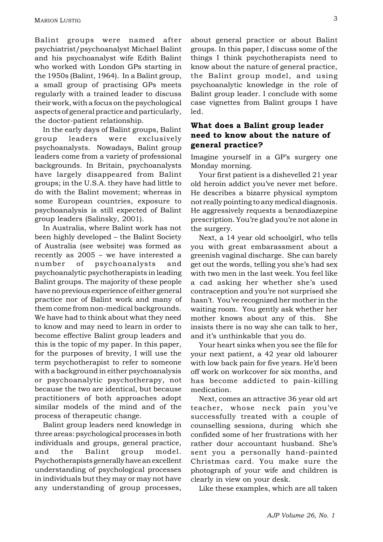Balint groups were named after psychiatrist/psychoanalyst Michael Balint and his psychoanalyst wife Edith Balint who worked with London GPs starting in the 1950s (Balint, 1964). In a Balint group, a small group of practising GPs meets regularly with a trained leader to discuss their work, with a focus on the psychological aspects of general practice and particularly, the doctor-patient relationship.

In the early days of Balint groups, Balint group leaders were exclusively psychoanalysts. Nowadays, Balint group leaders come from a variety of professional backgrounds. In Britain, psychoanalysts have largely disappeared from Balint groups; in the U.S.A. they have had little to do with the Balint movement; whereas in some European countries, exposure to psychoanalysis is still expected of Balint group leaders (Salinsky, 2001).

In Australia, where Balint work has not been highly developed – the Balint Society of Australia (see website) was formed as recently as  $2005 -$  we have interested a number of psychoanalysts and psychoanalytic psychotherapists in leading Balint groups. The majority of these people have no previous experience of either general practice nor of Balint work and many of them come from non-medical backgrounds. We have had to think about what they need to know and may need to learn in order to become effective Balint group leaders and this is the topic of my paper. In this paper, for the purposes of brevity, I will use the term psychotherapist to refer to someone with a background in either psychoanalysis or psychoanalytic psychotherapy, not because the two are identical, but because practitioners of both approaches adopt similar models of the mind and of the process of therapeutic change.

Balint group leaders need knowledge in three areas: psychological processes inboth individuals and groups, general practice, and the Balint group model. Psychotherapists generallyhaveanexcellent understanding of psychological processes in individuals but they may or may not have any understanding of group processes,

about general practice or about Balint groups. In this paper, I discuss some of the things I think psychotherapists need to know about the nature of general practice, the Balint group model, and using psychoanalytic knowledge in the role of Balint group leader. I conclude with some case vignettes from Balint groups I have led.

### What does a Balint group leader need to know about the nature of general practice?

Imagine yourself in a GP's surgery one Monday morning.

Your first patient is a dishevelled 21 year old heroin addict you've never met before. He describes a bizarre physical symptom not really pointing to any medical diagnosis. He aggressively requests a benzodiazepine prescription. You're glad you're not alone in the surgery.

Next, a 14 year old schoolgirl, who tells you with great embarassment about a greenish vaginal discharge. She can barely get out the words, telling you she's had sex with two men in the last week. You feel like a cad asking her whether she's used contraception and you're not surprised she hasn't. You've recognized her mother in the waiting room. You gently ask whether her mother knows about any of this. She insists there is no way she can talk to her, and it's unthinkable that you do.

Your heart sinks when you see the file for your next patient, a 42 year old labourer with low back pain for five years. He'd been off work on workcover for six months, and has become addicted to pain-killing medication.

Next, comes an attractive 36 year old art teacher, whose neck pain you've successfully treated with a couple of counselling sessions, during which she confided some of her frustrations with her rather dour accountant husband. She's sent you a personally hand-painted Christmas card. You make sure the photograph of your wife and children is clearly in view on your desk.

Like these examples, which are all taken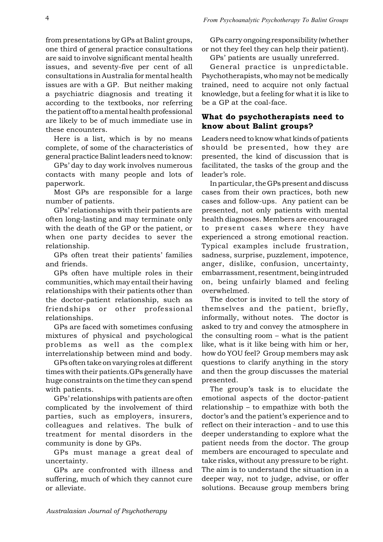from presentations by GPs at Balint groups, one third of general practice consultations are said to involve significant mental health issues, and seventy-five per cent of all consultations inAustralia for mental health issues are with a GP. But neither making a psychiatric diagnosis and treating it according to the textbooks, nor referring the patient off to a mental health professional are likely to be of much immediate use in these encounters.

Here is a list, which is by no means complete, of some of the characteristics of general practice Balint leaders need to know:

GPs' day to day work involves numerous contacts with many people and lots of paperwork.

Most GPs are responsible for a large number of patients.

GPs' relationships with their patients are often long-lasting and may terminate only with the death of the GP or the patient, or when one party decides to sever the relationship.

GPs often treat their patients' families and friends.

GPs often have multiple roles in their communities, which may entail their having relationships with their patients other than the doctor-patient relationship, such as friendships or other professional relationships.

GPs are faced with sometimes confusing mixtures of physical and psychological problems as well as the complex interrelationship between mind and body.

GPs often take on varying roles at different times with their patients. GPs generally have huge constraints on the time they can spend with patients.

GPs relationships with patients are often complicated by the involvement of third parties, such as employers, insurers, colleagues and relatives. The bulk of treatment for mental disorders in the community is done by GPs.

GPs must manage a great deal of uncertainty.

GPs are confronted with illness and suffering, much of which they cannot cure or alleviate.

GPs carry ongoing responsibility (whether or not they feel they can help their patient).

GPs' patients are usually unreferred.

General practice is unpredictable. Psychotherapists, who may not be medically trained, need to acquire not only factual knowledge, but a feeling for what it is like to be a GP at the coal-face.

## What do psychotherapists need to know about Balint groups?

Leaders need to know what kinds of patients should be presented, how they are presented, the kind of discussion that is facilitated, the tasks of the group and the leader's role.

In particular, the GPs present and discuss cases from their own practices, both new cases and follow-ups. Any patient can be presented, not only patients with mental health diagnoses. Members are encouraged to present cases where they have experienced a strong emotional reaction. Typical examples include frustration, sadness, surprise, puzzlement, impotence, anger, dislike, confusion, uncertainty, embarrassment, resentment,being intruded on, being unfairly blamed and feeling overwhelmed.

The doctor is invited to tell the story of themselves and the patient, briefly, informally, without notes. The doctor is asked to try and convey the atmosphere in the consulting room  $-$  what is the patient like, what is it like being with him or her, how do YOU feel? Group members may ask questions to clarify anything in the story and then the group discusses the material presented.

The group's task is to elucidate the emotional aspects of the doctor-patient relationship  $-$  to empathize with both the doctor's and the patient's experience and to reflect on their interaction - and to use this deeper understanding to explore what the patient needs from the doctor. The group members are encouraged to speculate and take risks, without any pressure to be right. The aim is to understand the situation in a deeper way, not to judge, advise, or offer solutions. Because group members bring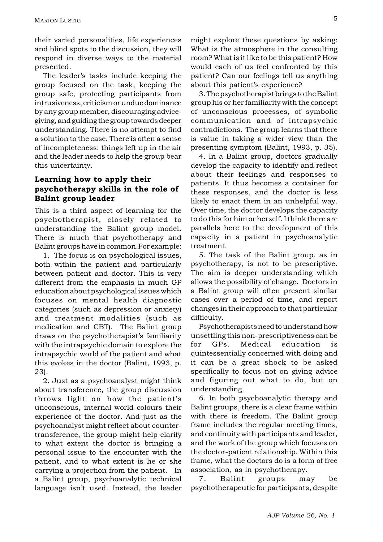their varied personalities, life experiences and blind spots to the discussion, they will respond in diverse ways to the material presented.

The leader's tasks include keeping the group focused on the task, keeping the group safe, protecting participants from intrusiveness, criticism or undue dominance by any group member, discouraging advicegiving, and guiding the group towards deeper understanding. There is no attempt to find a solution to the case. There is often a sense of incompleteness: things left up in the air and the leader needs to help the group bear this uncertainty.

# Learning how to apply their psychotherapy skills in the role of Balint group leader

This is a third aspect of learning for the psychotherapist, closely related to understanding the Balint group model. There is much that psychotherapy and Balint groups have in common. For example:

1. The focus is on psychological issues, both within the patient and particularly between patient and doctor. This is very different from the emphasis in much GP education about psychological issues which focuses on mental health diagnostic categories (such as depression or anxiety) and treatment modalities (such as medication and CBT). The Balint group draws on the psychotherapist's familiarity with the intrapsychic domain to explore the intrapsychic world of the patient and what this evokes in the doctor (Balint, 1993, p.  $23$ .

2. Just as a psychoanalyst might think about transference, the group discussion throws light on how the patient's unconscious, internal world colours their experience of the doctor. And just as the psychoanalyst might reflect about countertransference, the group might help clarify to what extent the doctor is bringing a personal issue to the encounter with the patient, and to what extent is he or she carrying a projection from the patient. In a Balint group, psychoanalytic technical language isn't used. Instead, the leader

might explore these questions by asking: What is the atmosphere in the consulting room? What is it like to be this patient? How would each of us feel confronted by this patient? Can our feelings tell us anything about this patient's experience?

3. The psychotherapist brings to the Balint group his or her familiarity with the concept of unconscious processes, of symbolic communication and of intrapsychic contradictions. The group learns that there is value in taking a wider view than the presenting symptom (Balint, 1993, p. 35).

4. In a Balint group, doctors gradually develop the capacity to identify and reflect about their feelings and responses to patients. It thus becomes a container for these responses, and the doctor is less likely to enact them in an unhelpful way. Over time, the doctor develops the capacity to do this for him or herself. I think there are parallels here to the development of this capacity in a patient in psychoanalytic treatment.

5. The task of the Balint group, as in psychotherapy, is not to be prescriptive. The aim is deeper understanding which allows the possibility of change. Doctors in a Balint group will often present similar cases over a period of time, and report changes in their approach to that particular difficulty.

Psychotherapists need to understand how unsettling this non-prescriptiveness can be for GPs. Medical education is quintessentially concerned with doing and it can be a great shock to be asked specifically to focus not on giving advice and figuring out what to do, but on understanding.

6. In both psychoanalytic therapy and Balint groups, there is a clear frame within with there is freedom. The Balint group frame includes the regular meeting times, and continuity with participants and leader, and the work of the group which focuses on the doctor-patient relationship. Within this frame, what the doctors do is a form of free association, as in psychotherapy.

7. **Balint** groups may be psychotherapeutic for participants, despite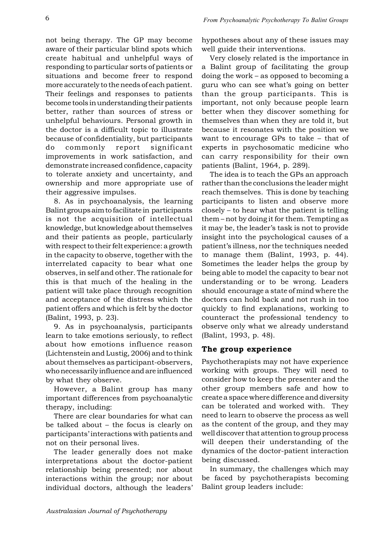not being therapy. The GP may become aware of their particular blind spots which create habitual and unhelpful ways of responding to particular sorts of patients or situations and become freer to respond more accurately to the needs of each patient. Their feelings and responses to patients become tools in understanding their patients better, rather than sources of stress or unhelpful behaviours. Personal growth in the doctor is a difficult topic to illustrate because of confidentiality, but participants do commonly report significant improvements in work satisfaction, and demonstrate increased confidence, capacity to tolerate anxiety and uncertainty, and ownership and more appropriate use of their aggressive impulses.

8. As in psychoanalysis, the learning Balint groupsaimtofacilitate in participants is not the acquisition of intellectual knowledge, but knowledge about themselves and their patients as people, particularly with respect to their felt experience: a growth in the capacity to observe, together with the interrelated capacity to bear what one observes, in self and other. The rationale for this is that much of the healing in the patient will take place through recognition and acceptance of the distress which the patient offers and which is felt by the doctor (Balint, 1993, p. 23).

9. As in psychoanalysis, participants learn to take emotions seriously, to reflect about how emotions influence reason (Lichtenstein and Lustig, 2006) and to think about themselves as participant-observers, whonecessarily influenceandare influenced by what they observe.

However, a Balint group has many important differences from psychoanalytic therapy, including:

There are clear boundaries for what can be talked about  $-$  the focus is clearly on participants interactions with patients and not on their personal lives.

The leader generally does not make interpretations about the doctor-patient relationship being presented; nor about interactions within the group; nor about individual doctors, although the leaders hypotheses about any of these issues may well guide their interventions.

Very closely related is the importance in a Balint group of facilitating the group doing the work  $-$  as opposed to becoming a guru who can see what's going on better than the group participants. This is important, not only because people learn better when they discover something for themselves than when they are told it, but because it resonates with the position we want to encourage GPs to take  $-$  that of experts in psychosomatic medicine who can carry responsibility for their own patients (Balint, 1964, p. 289).

The idea is to teach the GPs an approach rather than the conclusions the leader might reach themselves. This is done by teaching participants to listen and observe more  $\frac{1}{2}$  closely – to hear what the patient is telling them – not by doing it for them. Tempting as it may be, the leader's task is not to provide insight into the psychological causes of a patient's illness, nor the techniques needed to manage them (Balint, 1993, p. 44). Sometimes the leader helps the group by being able to model the capacity to bear not understanding or to be wrong. Leaders should encourage a state of mind where the doctors can hold back and not rush in too quickly to find explanations, working to counteract the professional tendency to observe only what we already understand (Balint, 1993, p. 48).

#### The group experience

Psychotherapists may not have experience working with groups. They will need to consider how to keep the presenter and the other group members safe and how to create a space where difference and diversity can be tolerated and worked with. They need to learn to observe the process as well as the content of the group, and they may well discover that attention to group process will deepen their understanding of the dynamics of the doctor-patient interaction being discussed.

In summary, the challenges which may be faced by psychotherapists becoming Balint group leaders include: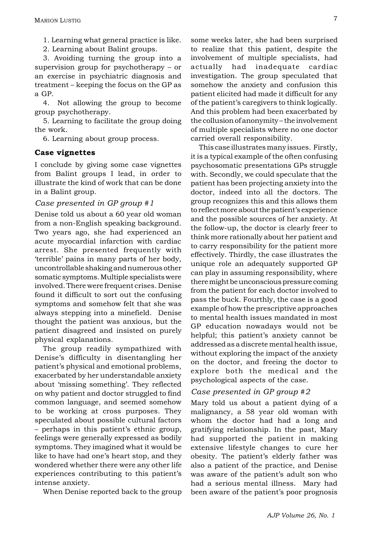1. Learning what general practice is like.

2. Learning about Balint groups.

3. Avoiding turning the group into a supervision group for psychotherapy  $-$  or an exercise in psychiatric diagnosis and treatment – keeping the focus on the GP as a GP.

4. Not allowing the group to become group psychotherapy.

5. Learning to facilitate the group doing the work.

6. Learning about group process.

#### Case vignettes

I conclude by giving some case vignettes from Balint groups I lead, in order to illustrate the kind of work that can be done in a Balint group.

#### Case presented in GP group  $#1$

Denise told us about a 60 year old woman from a non-English speaking background. Two years ago, she had experienced an acute myocardial infarction with cardiac arrest. She presented frequently with terrible' pains in many parts of her body, uncontrollable shaking and numerous other somatic symptoms. Multiple specialists were involved. There were frequent crises. Denise found it difficult to sort out the confusing symptoms and somehow felt that she was always stepping into a minefield. Denise thought the patient was anxious, but the patient disagreed and insisted on purely physical explanations.

The group readily sympathized with Denise's difficulty in disentangling her patient's physical and emotional problems, exacerbated by her understandable anxiety about 'missing something'. They reflected on why patient and doctor struggled to find common language, and seemed somehow to be working at cross purposes. They speculated about possible cultural factors - perhaps in this patient's ethnic group, feelings were generally expressed as bodily symptoms. They imagined what it would be like to have had one's heart stop, and they wondered whether there were any other life experiences contributing to this patient's intense anxiety.

When Denise reported back to the group

some weeks later, she had been surprised to realize that this patient, despite the involvement of multiple specialists, had actually had inadequate cardiac investigation. The group speculated that somehow the anxiety and confusion this patient elicited had made it difficult for any of the patient's caregivers to think logically. And this problem had been exacerbated by the collusion of anonymity – the involvement of multiple specialists where no one doctor carried overall responsibility.

This case illustrates many issues. Firstly, it is a typical example of the often confusing psychosomatic presentations GPs struggle with. Secondly, we could speculate that the patient has been projecting anxiety into the doctor, indeed into all the doctors. The group recognizes this and this allows them to reflect more about the patient's experience and the possible sources of her anxiety. At the follow-up, the doctor is clearly freer to think more rationally about her patient and to carry responsibility for the patient more effectively. Thirdly, the case illustrates the unique role an adequately supported GP can play in assuming responsibility, where there might be unconscious pressure coming from the patient for each doctor involved to pass the buck. Fourthly, the case is a good example of how the prescriptive approaches to mental health issues mandated in most GP education nowadays would not be helpful; this patient's anxiety cannot be addressed as a discrete mental health issue. without exploring the impact of the anxiety on the doctor, and freeing the doctor to explore both the medical and the psychological aspects of the case.

#### Case presented in GP group  $\#2$

Mary told us about a patient dying of a malignancy, a 58 year old woman with whom the doctor had had a long and gratifying relationship. In the past, Mary had supported the patient in making extensive lifestyle changes to cure her obesity. The patient's elderly father was also a patient of the practice, and Denise was aware of the patient's adult son who had a serious mental illness. Mary had been aware of the patient's poor prognosis